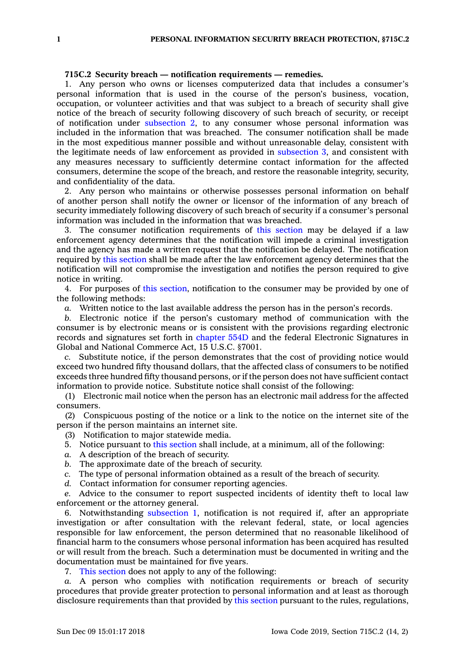## **715C.2 Security breach — notification requirements — remedies.**

1. Any person who owns or licenses computerized data that includes <sup>a</sup> consumer's personal information that is used in the course of the person's business, vocation, occupation, or volunteer activities and that was subject to <sup>a</sup> breach of security shall give notice of the breach of security following discovery of such breach of security, or receipt of notification under [subsection](https://www.legis.iowa.gov/docs/code/715C.2.pdf) 2, to any consumer whose personal information was included in the information that was breached. The consumer notification shall be made in the most expeditious manner possible and without unreasonable delay, consistent with the legitimate needs of law enforcement as provided in [subsection](https://www.legis.iowa.gov/docs/code/715C.2.pdf) 3, and consistent with any measures necessary to sufficiently determine contact information for the affected consumers, determine the scope of the breach, and restore the reasonable integrity, security, and confidentiality of the data.

2. Any person who maintains or otherwise possesses personal information on behalf of another person shall notify the owner or licensor of the information of any breach of security immediately following discovery of such breach of security if <sup>a</sup> consumer's personal information was included in the information that was breached.

3. The consumer notification requirements of this [section](https://www.legis.iowa.gov/docs/code/715C.2.pdf) may be delayed if <sup>a</sup> law enforcement agency determines that the notification will impede <sup>a</sup> criminal investigation and the agency has made <sup>a</sup> written request that the notification be delayed. The notification required by this [section](https://www.legis.iowa.gov/docs/code/715C.2.pdf) shall be made after the law enforcement agency determines that the notification will not compromise the investigation and notifies the person required to give notice in writing.

4. For purposes of this [section](https://www.legis.iowa.gov/docs/code/715C.2.pdf), notification to the consumer may be provided by one of the following methods:

*a.* Written notice to the last available address the person has in the person's records.

*b.* Electronic notice if the person's customary method of communication with the consumer is by electronic means or is consistent with the provisions regarding electronic records and signatures set forth in [chapter](https://www.legis.iowa.gov/docs/code//554D.pdf) 554D and the federal Electronic Signatures in Global and National Commerce Act, 15 U.S.C. §7001.

*c.* Substitute notice, if the person demonstrates that the cost of providing notice would exceed two hundred fifty thousand dollars, that the affected class of consumers to be notified exceeds three hundred fifty thousand persons, or if the person does not have sufficient contact information to provide notice. Substitute notice shall consist of the following:

(1) Electronic mail notice when the person has an electronic mail address for the affected consumers.

(2) Conspicuous posting of the notice or <sup>a</sup> link to the notice on the internet site of the person if the person maintains an internet site.

- (3) Notification to major statewide media.
- 5. Notice pursuant to this [section](https://www.legis.iowa.gov/docs/code/715C.2.pdf) shall include, at <sup>a</sup> minimum, all of the following:
- *a.* A description of the breach of security.
- *b.* The approximate date of the breach of security.
- *c.* The type of personal information obtained as <sup>a</sup> result of the breach of security.
- *d.* Contact information for consumer reporting agencies.

*e.* Advice to the consumer to report suspected incidents of identity theft to local law enforcement or the attorney general.

6. Notwithstanding [subsection](https://www.legis.iowa.gov/docs/code/715C.2.pdf) 1, notification is not required if, after an appropriate investigation or after consultation with the relevant federal, state, or local agencies responsible for law enforcement, the person determined that no reasonable likelihood of financial harm to the consumers whose personal information has been acquired has resulted or will result from the breach. Such <sup>a</sup> determination must be documented in writing and the documentation must be maintained for five years.

7. This [section](https://www.legis.iowa.gov/docs/code/715C.2.pdf) does not apply to any of the following:

*a.* A person who complies with notification requirements or breach of security procedures that provide greater protection to personal information and at least as thorough disclosure requirements than that provided by this [section](https://www.legis.iowa.gov/docs/code/715C.2.pdf) pursuant to the rules, regulations,